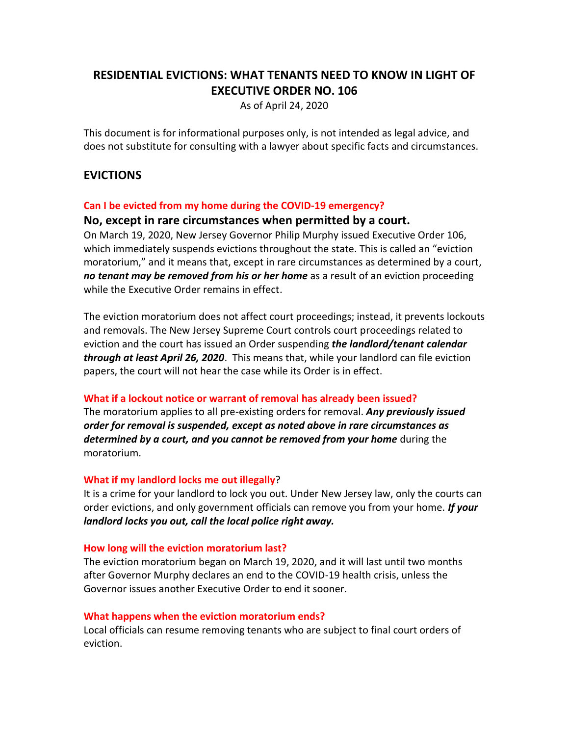# **RESIDENTIAL EVICTIONS: WHAT TENANTS NEED TO KNOW IN LIGHT OF EXECUTIVE ORDER NO. 106**

As of April 24, 2020

This document is for informational purposes only, is not intended as legal advice, and does not substitute for consulting with a lawyer about specific facts and circumstances.

# **EVICTIONS**

#### **Can I be evicted from my home during the COVID-19 emergency?**

#### **No, except in rare circumstances when permitted by a court.**

On March 19, 2020, New Jersey Governor Philip Murphy issued Executive Order 106, which immediately suspends evictions throughout the state. This is called an "eviction moratorium," and it means that, except in rare circumstances as determined by a court, *no tenant may be removed from his or her home* as a result of an eviction proceeding while the Executive Order remains in effect.

The eviction moratorium does not affect court proceedings; instead, it prevents lockouts and removals. The New Jersey Supreme Court controls court proceedings related to eviction and the court has issued an Order suspending *the landlord/tenant calendar through at least April 26, 2020*. This means that, while your landlord can file eviction papers, the court will not hear the case while its Order is in effect.

#### **What if a lockout notice or warrant of removal has already been issued?**

The moratorium applies to all pre-existing orders for removal. *Any previously issued order for removal is suspended, except as noted above in rare circumstances as determined by a court, and you cannot be removed from your home* during the moratorium.

#### **What if my landlord locks me out illegally**?

It is a crime for your landlord to lock you out. Under New Jersey law, only the courts can order evictions, and only government officials can remove you from your home. *If your landlord locks you out, call the local police right away.*

#### **How long will the eviction moratorium last?**

The eviction moratorium began on March 19, 2020, and it will last until two months after Governor Murphy declares an end to the COVID-19 health crisis, unless the Governor issues another Executive Order to end it sooner.

#### **What happens when the eviction moratorium ends?**

Local officials can resume removing tenants who are subject to final court orders of eviction.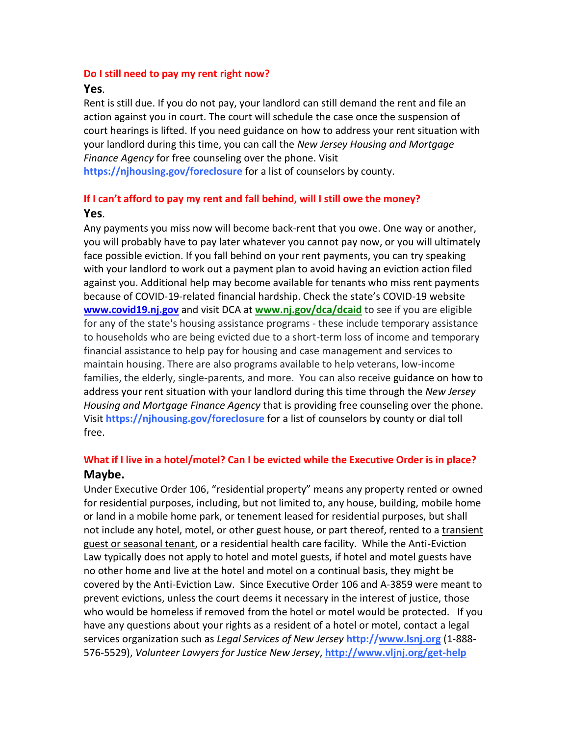#### **Do I still need to pay my rent right now?**

#### **Yes**.

Rent is still due. If you do not pay, your landlord can still demand the rent and file an action against you in court. The court will schedule the case once the suspension of court hearings is lifted. If you need guidance on how to address your rent situation with your landlord during this time, you can call the *New Jersey Housing and Mortgage Finance Agency* for free counseling over the phone. Visit **https://njhousing.gov/foreclosure** for a list of counselors by county.

# **If I can't afford to pay my rent and fall behind, will I still owe the money? Yes**.

Any payments you miss now will become back-rent that you owe. One way or another, you will probably have to pay later whatever you cannot pay now, or you will ultimately face possible eviction. If you fall behind on your rent payments, you can try speaking with your landlord to work out a payment plan to avoid having an eviction action filed against you. Additional help may become available for tenants who miss rent payments because of COVID-19-related financial hardship. Check the state's COVID-19 website **[www.covid19.nj.gov](http://www.covid19.nj.gov/)** and visit DCA at **[www.nj.gov/dca/dcaid](https://www.nj.gov/dca/dcaid)** to see if you are eligible for any of the state's housing assistance programs - these include temporary assistance to households who are being evicted due to a short-term loss of income and temporary financial assistance to help pay for housing and case management and services to maintain housing. There are also programs available to help veterans, low-income families, the elderly, single-parents, and more. You can also receive guidance on how to address your rent situation with your landlord during this time through the *New Jersey Housing and Mortgage Finance Agency* that is providing free counseling over the phone. Visit **https://njhousing.gov/foreclosure** for a list of counselors by county or dial toll free.

# **What if I live in a hotel/motel? Can I be evicted while the Executive Order is in place? Maybe.**

Under Executive Order 106, "residential property" means any property rented or owned for residential purposes, including, but not limited to, any house, building, mobile home or land in a mobile home park, or tenement leased for residential purposes, but shall not include any hotel, motel, or other guest house, or part thereof, rented to a transient guest or seasonal tenant, or a residential health care facility. While the Anti-Eviction Law typically does not apply to hotel and motel guests, if hotel and motel guests have no other home and live at the hotel and motel on a continual basis, they might be covered by the Anti-Eviction Law. Since Executive Order 106 and A-3859 were meant to prevent evictions, unless the court deems it necessary in the interest of justice, those who would be homeless if removed from the hotel or motel would be protected. If you have any questions about your rights as a resident of a hotel or motel, contact a legal services organization such as *Legal Services of New Jersey* **http:/[/www.lsnj.org](http://www.lsnj.org/)** (1-888- 576-5529), *Volunteer Lawyers for Justice New Jersey*, **<http://www.vljnj.org/get-help>**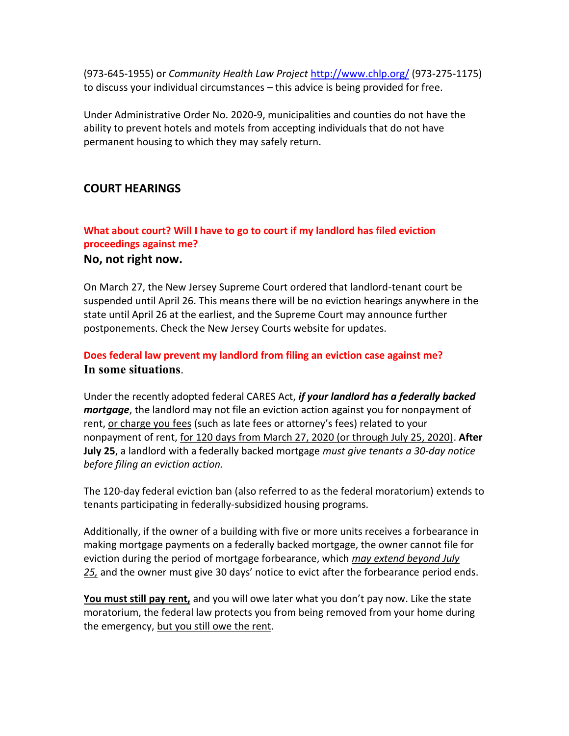(973-645-1955) or *Community Health Law Project* <http://www.chlp.org/> (973-275-1175) to discuss your individual circumstances – this advice is being provided for free.

Under Administrative Order No. 2020-9, municipalities and counties do not have the ability to prevent hotels and motels from accepting individuals that do not have permanent housing to which they may safely return.

# **COURT HEARINGS**

# **What about court? Will I have to go to court if my landlord has filed eviction proceedings against me?**

## **No, not right now.**

On March 27, the New Jersey Supreme Court ordered that landlord-tenant court be suspended until April 26. This means there will be no eviction hearings anywhere in the state until April 26 at the earliest, and the Supreme Court may announce further postponements. Check the New Jersey Courts website for updates.

# **Does federal law prevent my landlord from filing an eviction case against me? In some situations**.

Under the recently adopted federal CARES Act, *if your landlord has a federally backed mortgage*, the landlord may not file an eviction action against you for nonpayment of rent, or charge you fees (such as late fees or attorney's fees) related to your nonpayment of rent, for 120 days from March 27, 2020 (or through July 25, 2020). **After July 25**, a landlord with a federally backed mortgage *must give tenants a 30-day notice before filing an eviction action.*

The 120-day federal eviction ban (also referred to as the federal moratorium) extends to tenants participating in federally-subsidized housing programs.

Additionally, if the owner of a building with five or more units receives a forbearance in making mortgage payments on a federally backed mortgage, the owner cannot file for eviction during the period of mortgage forbearance, which *may extend beyond July 25,* and the owner must give 30 days' notice to evict after the forbearance period ends.

**You must still pay rent,** and you will owe later what you don't pay now. Like the state moratorium, the federal law protects you from being removed from your home during the emergency, but you still owe the rent.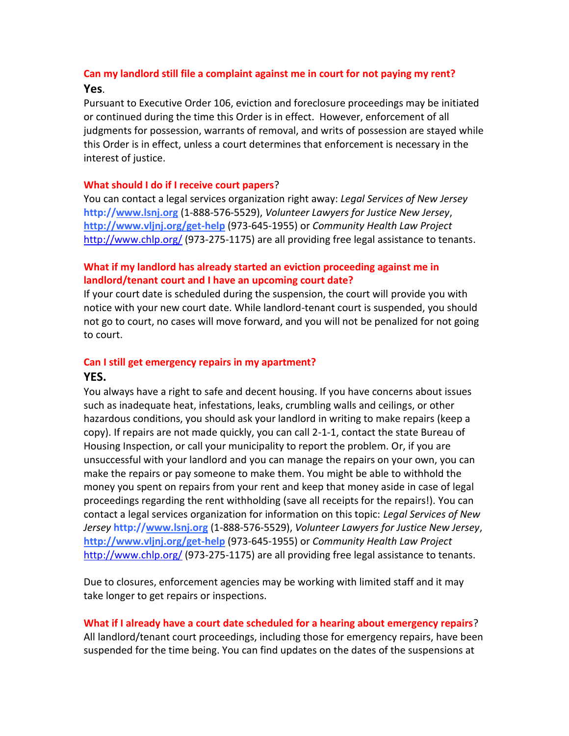# **Can my landlord still file a complaint against me in court for not paying my rent? Yes**.

Pursuant to Executive Order 106, eviction and foreclosure proceedings may be initiated or continued during the time this Order is in effect. However, enforcement of all judgments for possession, warrants of removal, and writs of possession are stayed while this Order is in effect, unless a court determines that enforcement is necessary in the interest of justice.

#### **What should I do if I receive court papers**?

You can contact a legal services organization right away: *Legal Services of New Jersey* **http:/[/www.lsnj.org](http://www.lsnj.org/)** (1-888-576-5529), *Volunteer Lawyers for Justice New Jersey*, **<http://www.vljnj.org/get-help>** (973-645-1955) or *Community Health Law Project* <http://www.chlp.org/> (973-275-1175) are all providing free legal assistance to tenants.

# **What if my landlord has already started an eviction proceeding against me in landlord/tenant court and I have an upcoming court date?**

If your court date is scheduled during the suspension, the court will provide you with notice with your new court date. While landlord-tenant court is suspended, you should not go to court, no cases will move forward, and you will not be penalized for not going to court.

## **Can I still get emergency repairs in my apartment? YES.**

You always have a right to safe and decent housing. If you have concerns about issues such as inadequate heat, infestations, leaks, crumbling walls and ceilings, or other hazardous conditions, you should ask your landlord in writing to make repairs (keep a copy). If repairs are not made quickly, you can call 2-1-1, contact the state Bureau of Housing Inspection, or call your municipality to report the problem. Or, if you are unsuccessful with your landlord and you can manage the repairs on your own, you can make the repairs or pay someone to make them. You might be able to withhold the money you spent on repairs from your rent and keep that money aside in case of legal proceedings regarding the rent withholding (save all receipts for the repairs!). You can contact a legal services organization for information on this topic: *Legal Services of New Jersey* **http:/[/www.lsnj.org](http://www.lsnj.org/)** (1-888-576-5529), *Volunteer Lawyers for Justice New Jersey*, **<http://www.vljnj.org/get-help>** (973-645-1955) or *Community Health Law Project* <http://www.chlp.org/> (973-275-1175) are all providing free legal assistance to tenants.

Due to closures, enforcement agencies may be working with limited staff and it may take longer to get repairs or inspections.

# **What if I already have a court date scheduled for a hearing about emergency repairs**?

All landlord/tenant court proceedings, including those for emergency repairs, have been suspended for the time being. You can find updates on the dates of the suspensions at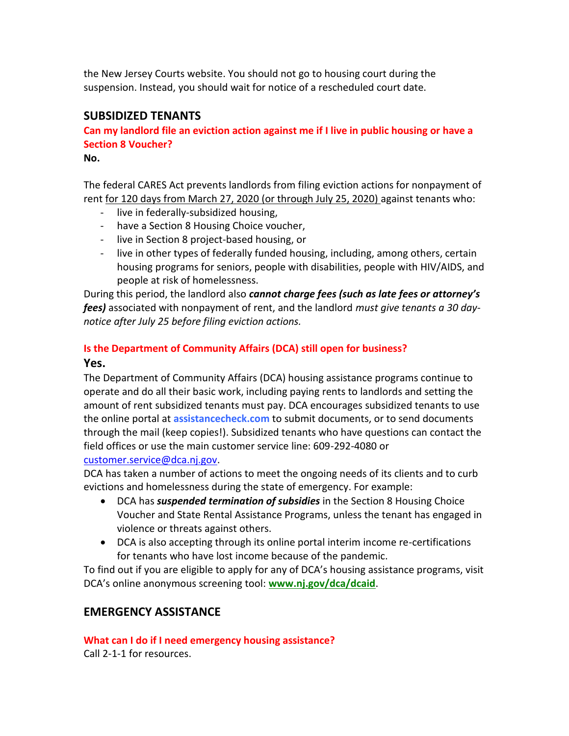the New Jersey Courts website. You should not go to housing court during the suspension. Instead, you should wait for notice of a rescheduled court date.

# **SUBSIDIZED TENANTS**

**Can my landlord file an eviction action against me if I live in public housing or have a Section 8 Voucher?**

**No.**

The federal CARES Act prevents landlords from filing eviction actions for nonpayment of rent for 120 days from March 27, 2020 (or through July 25, 2020) against tenants who:

- live in federally-subsidized housing,
- have a Section 8 Housing Choice voucher,
- live in Section 8 project-based housing, or
- live in other types of federally funded housing, including, among others, certain housing programs for seniors, people with disabilities, people with HIV/AIDS, and people at risk of homelessness.

During this period, the landlord also *cannot charge fees (such as late fees or attorney's fees)* associated with nonpayment of rent, and the landlord *must give tenants a 30 daynotice after July 25 before filing eviction actions.*

# **Is the Department of Community Affairs (DCA) still open for business?**

## **Yes.**

The Department of Community Affairs (DCA) housing assistance programs continue to operate and do all their basic work, including paying rents to landlords and setting the amount of rent subsidized tenants must pay. DCA encourages subsidized tenants to use the online portal at **assistancecheck.com** to submit documents, or to send documents through the mail (keep copies!). Subsidized tenants who have questions can contact the field offices or use the main customer service line: 609-292-4080 or

# [customer.service@dca.nj.gov.](mailto:customer.service@dca.nj.gov)

DCA has taken a number of actions to meet the ongoing needs of its clients and to curb evictions and homelessness during the state of emergency. For example:

- DCA has *suspended termination of subsidies* in the Section 8 Housing Choice Voucher and State Rental Assistance Programs, unless the tenant has engaged in violence or threats against others.
- DCA is also accepting through its online portal interim income re-certifications for tenants who have lost income because of the pandemic.

To find out if you are eligible to apply for any of DCA's housing assistance programs, visit DCA's online anonymous screening tool: **[www.nj.gov/dca/dcaid](https://www.nj.gov/dca/dcaid)**.

# **EMERGENCY ASSISTANCE**

**What can I do if I need emergency housing assistance?**

Call 2-1-1 for resources.